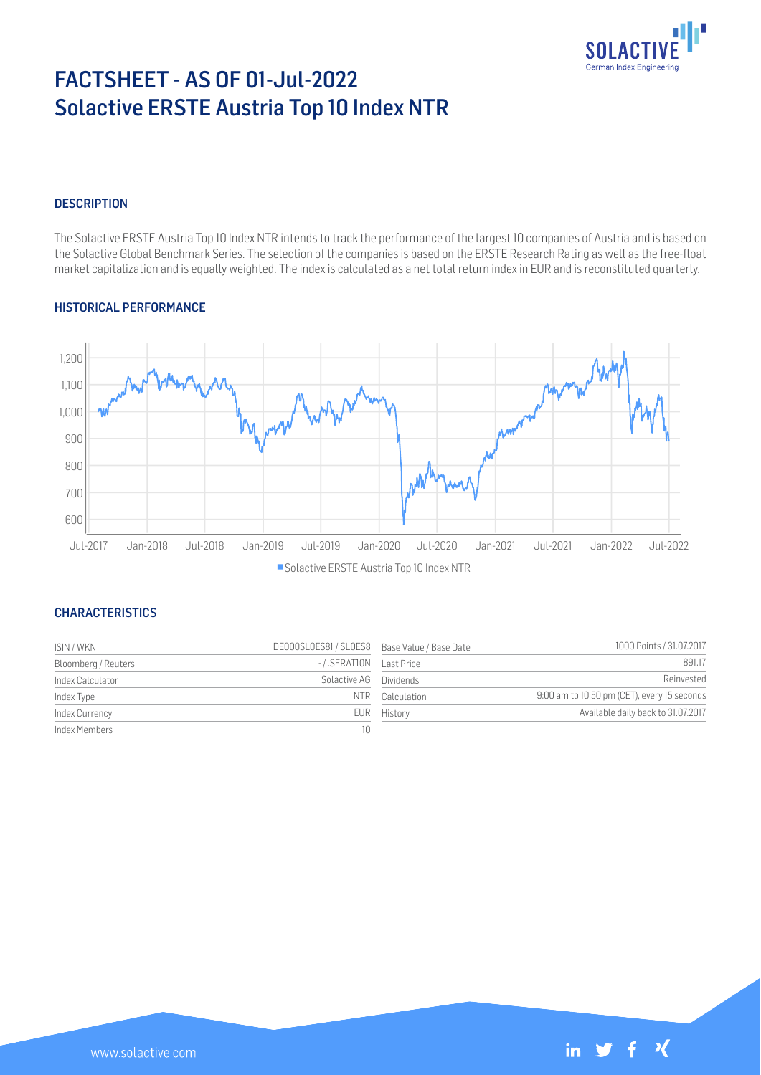

# FACTSHEET - AS OF 01-Jul-2022 Solactive ERSTE Austria Top 10 Index NTR

#### **DESCRIPTION**

The Solactive ERSTE Austria Top 10 Index NTR intends to track the performance of the largest 10 companies of Austria and is based on the Solactive Global Benchmark Series. The selection of the companies is based on the ERSTE Research Rating as well as the free-float market capitalization and is equally weighted. The index is calculated as a net total return index in EUR and is reconstituted quarterly.

#### HISTORICAL PERFORMANCE



#### **CHARACTERISTICS**

| ISIN / WKN          | DE000SL0ES81 / SL0ES8 Base Value / Base Date |                 | 1000 Points / 31.07.2017                    |
|---------------------|----------------------------------------------|-----------------|---------------------------------------------|
| Bloomberg / Reuters | -/.SERATION Last Price                       |                 | 891.17                                      |
| Index Calculator    | Solactive AG Dividends                       |                 | Reinvested                                  |
| Index Type          |                                              | NTR Calculation | 9:00 am to 10:50 pm (CET), every 15 seconds |
| Index Currency      |                                              | EUR History     | Available daily back to 31.07.2017          |
| Index Members       |                                              |                 |                                             |

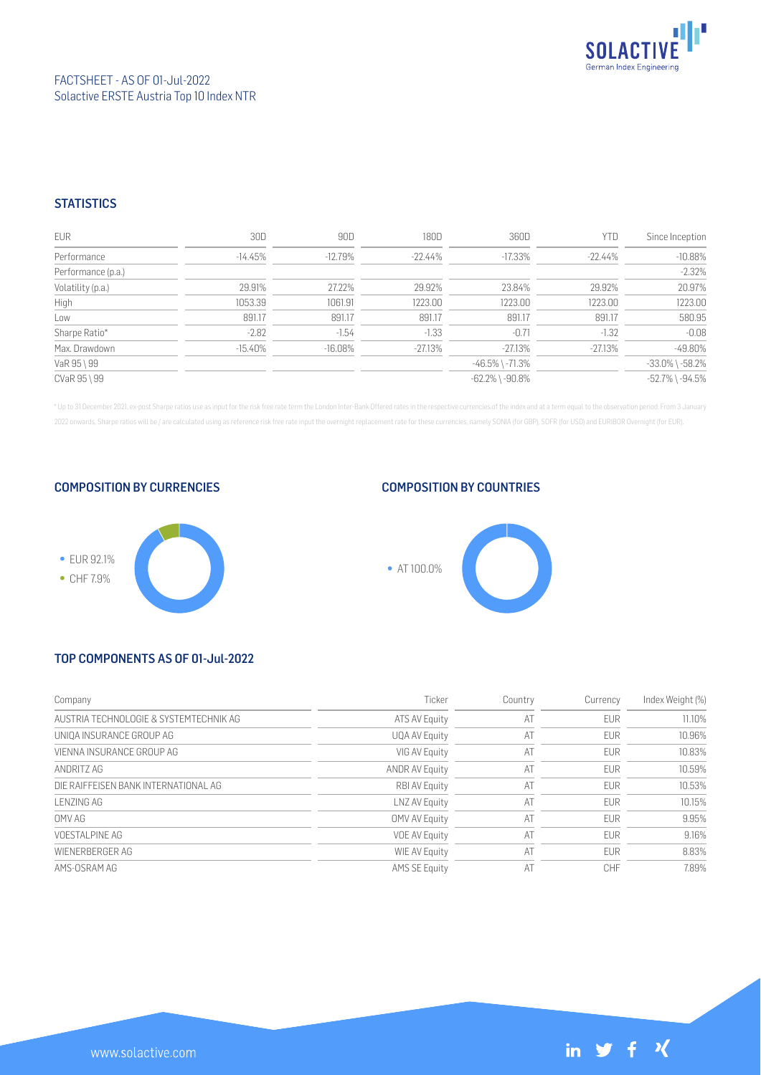

## FACTSHEET - AS OF 01-Jul-2022 Solactive ERSTE Austria Top 10 Index NTR

#### **STATISTICS**

| <b>EUR</b>         | 30D        | 90D        | 180D       | 360D                  | <b>YTD</b> | Since Inception       |
|--------------------|------------|------------|------------|-----------------------|------------|-----------------------|
| Performance        | $-14.45\%$ | $-12.79\%$ | $-22.44\%$ | $-17.33\%$            | $-22.44\%$ | $-10.88%$             |
| Performance (p.a.) |            |            |            |                       |            | $-2.32%$              |
| Volatility (p.a.)  | 29.91%     | 27.22%     | 29.92%     | 23.84%                | 29.92%     | 20.97%                |
| High               | 1053.39    | 1061.91    | 1223.00    | 1223.00               | 1223.00    | 1223.00               |
| Low                | 891.17     | 891.17     | 891.17     | 891.17                | 891.17     | 580.95                |
| Sharpe Ratio*      | $-2.82$    | $-1.54$    | $-1.33$    | $-0.71$               | $-1.32$    | $-0.08$               |
| Max. Drawdown      | $-15.40\%$ | $-16.08%$  | $-27.13%$  | $-27.13%$             | $-27.13%$  | $-49.80%$             |
| VaR 95 \ 99        |            |            |            | $-46.5\%$ \ $-71.3\%$ |            | $-33.0\%$ \ $-58.2\%$ |
| CVaR 95 \ 99       |            |            |            | $-62.2\%$ \ $-90.8\%$ |            | $-52.7\%$ \ $-94.5\%$ |

\* Up to 31 December 2021, ex-post Sharpe ratios use as input for the risk free rate term the London Inter-Bank Offered rates in the respective currencies of the index and at a term equal to the observation period. From 3 J 2022 onwards, Sharpe ratios will be / are calculated using as reference risk free rate input the overnight replacement rate for these currencies, namely SONIA (for GBP), SOFR (for USD) and EURIBOR Overnight (for EUR).

COMPOSITION BY CURRENCIES



## COMPOSITION BY COUNTRIES



# TOP COMPONENTS AS OF 01-Jul-2022

| Company                                | Ticker                | Country | Currency   | Index Weight (%) |
|----------------------------------------|-----------------------|---------|------------|------------------|
| AUSTRIA TECHNOLOGIE & SYSTEMTECHNIK AG | ATS AV Equity         | AT      | <b>EUR</b> | 11.10%           |
| UNIOA INSURANCE GROUP AG               | UQA AV Equity         | AT      | <b>EUR</b> | 10.96%           |
| VIENNA INSURANCE GROUP AG              | VIG AV Equity         | AT      | <b>EUR</b> | 10.83%           |
| ANDRITZ AG                             | <b>ANDR AV Equity</b> | AT      | <b>EUR</b> | 10.59%           |
| DIE RAIFFEISEN BANK INTERNATIONAL AG   | <b>RBI AV Equity</b>  | AT      | <b>EUR</b> | 10.53%           |
| LENZING AG                             | LNZ AV Equity         | AT      | <b>EUR</b> | 10.15%           |
| OMV AG                                 | OMV AV Equity         | AT      | <b>EUR</b> | 9.95%            |
| VOESTAL PINE AG                        | <b>VOE AV Equity</b>  | AT      | <b>EUR</b> | 9.16%            |
| WIFNERBERGER AG                        | WIE AV Equity         | AT      | <b>EUR</b> | 8.83%            |
| AMS-OSRAM AG                           | <b>AMS SE Equity</b>  | AT      | CHF        | 7.89%            |